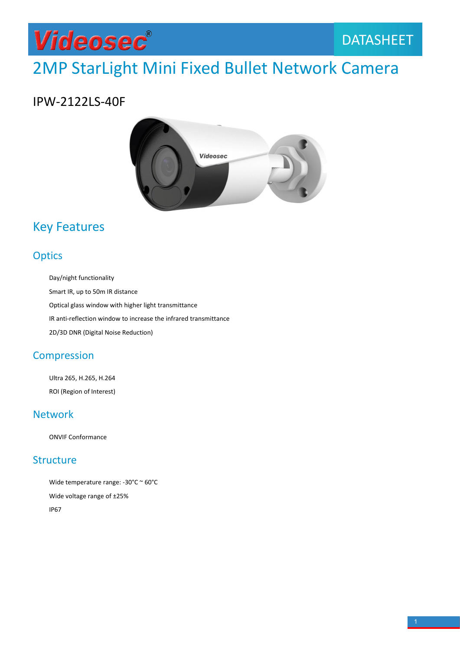

## IPW-2122LS-40F



## **Optics**

CONTRIBUTE:<br>
2012 Day/night functionality<br>
2013 Day/night functionality<br>
2D/3D DNR (Digital Noise Reduction)<br>
2D/3D DNR (Digital Noise Reduction)<br>
2D/3D DNR (Digital Noise Reduction)<br>
2D/3D DNR (Digital Noise Reduction)

**ICES**<br>
Day/night functionality<br>
Smart IR, up to 50m IR distance<br>
Optical glass window with higher light transmittance<br>
IR anti-reflection window to increase the infrared transmittance<br>
2D/3D DNR (Digital Noise Reduction)<br>

### **Compression**

Day/night functionality<br>Smart IR, up to 50m IR distance<br>Optical glass window with higher light transmit<br>IR anti-reflection window to increase the infrar<br>2D/3D DNR (Digital Noise Reduction)<br>MPTESSION<br>Ultra 265, H.265, H.264 Smart IR, up to 50m IR distance<br>Optical glass window with higher light tr<br>IR anti-reflection window to increase th<br>2D/3D DNR (Digital Noise Reduction)<br>MPTESSION<br>Ultra 265, H.265, H.264<br>ROI (Region of Interest)<br>WOTK ED, SD DIM (Digital Moke Medaction,<br>
MPTESSION<br>
Ultra 265, H.265, H.264<br>
ROI (Region of Interest)<br>
MOTK<br>
ONVIF Conformance<br>
LCLUTE

### Network

### **Structure**

ROI (Region of Interest)<br>
WOTK<br>
ONVIF Conformance<br>
UCLUTE<br>
Wide temperature range: -30°C ~ 60°C<br>
Wide voltage range of ±25%<br>
IP67 WOTK<br>
WOTK<br>
UCLUTE<br>
Wide temperature range: -30°C ~ 60°C<br>
Wide voltage range of ±25%<br>
1P67 IP67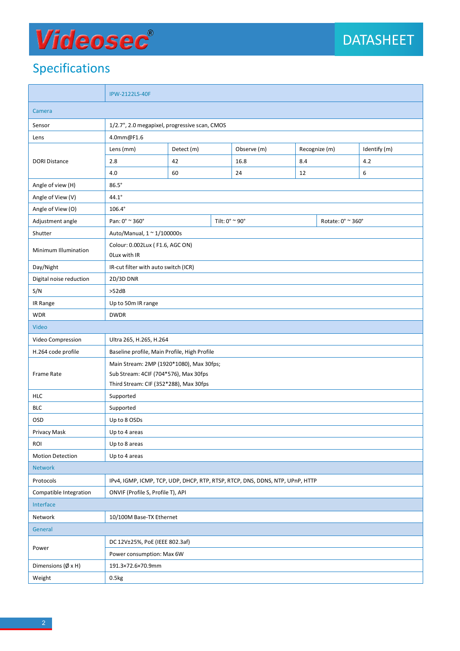# Specifications

| <b>Videosec</b> ®                 |                                                                                                                    |                         |  |             |               |  | <b>DATASHEET</b>                        |  |
|-----------------------------------|--------------------------------------------------------------------------------------------------------------------|-------------------------|--|-------------|---------------|--|-----------------------------------------|--|
| <b>Specifications</b>             |                                                                                                                    |                         |  |             |               |  |                                         |  |
|                                   | <b>IPW-2122LS-40F</b>                                                                                              |                         |  |             |               |  |                                         |  |
| Camera                            |                                                                                                                    |                         |  |             |               |  |                                         |  |
| Sensor                            | 1/2.7", 2.0 megapixel, progressive scan, CMOS                                                                      |                         |  |             |               |  |                                         |  |
| Lens                              | 4.0mm@F1.6                                                                                                         |                         |  |             |               |  |                                         |  |
| <b>DORI Distance</b>              | Lens (mm)                                                                                                          | Detect (m)              |  | Observe (m) | Recognize (m) |  | Identify (m)                            |  |
|                                   | 2.8                                                                                                                | 42                      |  | 16.8        | 8.4           |  | 4.2                                     |  |
|                                   | 4.0                                                                                                                | 60                      |  | 24          | 12            |  | 6                                       |  |
| Angle of view (H)                 | $86.5^\circ$                                                                                                       |                         |  |             |               |  |                                         |  |
| Angle of View (V)                 | $44.1^\circ$                                                                                                       |                         |  |             |               |  |                                         |  |
| Angle of View (O)                 | $106.4^\circ$                                                                                                      |                         |  |             |               |  |                                         |  |
| Adjustment angle                  | Pan: 0° ~ 360°                                                                                                     | Tilt: $0^{\circ}$ ~ 90° |  |             |               |  | Rotate: $0^{\circ} \approx 360^{\circ}$ |  |
| Shutter                           | Auto/Manual, 1 ~ 1/100000s                                                                                         |                         |  |             |               |  |                                         |  |
| Minimum Illumination              | Colour: 0.002Lux (F1.6, AGC ON)<br>OLux with IR                                                                    |                         |  |             |               |  |                                         |  |
| Day/Night                         | IR-cut filter with auto switch (ICR)                                                                               |                         |  |             |               |  |                                         |  |
| Digital noise reduction           | 2D/3D DNR                                                                                                          |                         |  |             |               |  |                                         |  |
| S/N                               | >52dB                                                                                                              |                         |  |             |               |  |                                         |  |
| IR Range                          | Up to 50m IR range                                                                                                 |                         |  |             |               |  |                                         |  |
| <b>WDR</b>                        | <b>DWDR</b>                                                                                                        |                         |  |             |               |  |                                         |  |
| Video                             |                                                                                                                    |                         |  |             |               |  |                                         |  |
| Video Compression                 | Ultra 265, H.265, H.264                                                                                            |                         |  |             |               |  |                                         |  |
| H.264 code profile                | Baseline profile, Main Profile, High Profile                                                                       |                         |  |             |               |  |                                         |  |
| Frame Rate                        | Main Stream: 2MP (1920*1080), Max 30fps;                                                                           |                         |  |             |               |  |                                         |  |
|                                   | Sub Stream: 4CIF (704*576), Max 30fps                                                                              |                         |  |             |               |  |                                         |  |
|                                   | Third Stream: CIF (352*288), Max 30fps                                                                             |                         |  |             |               |  |                                         |  |
| <b>HLC</b>                        | Supported                                                                                                          |                         |  |             |               |  |                                         |  |
| <b>BLC</b>                        | Supported                                                                                                          |                         |  |             |               |  |                                         |  |
| OSD<br>Privacy Mask               | Up to 8 OSDs<br>Up to 4 areas                                                                                      |                         |  |             |               |  |                                         |  |
| ROI                               | Up to 8 areas                                                                                                      |                         |  |             |               |  |                                         |  |
| <b>Motion Detection</b>           | Up to 4 areas                                                                                                      |                         |  |             |               |  |                                         |  |
| <b>Network</b>                    |                                                                                                                    |                         |  |             |               |  |                                         |  |
| Protocols                         |                                                                                                                    |                         |  |             |               |  |                                         |  |
| Compatible Integration            | IPv4, IGMP, ICMP, TCP, UDP, DHCP, RTP, RTSP, RTCP, DNS, DDNS, NTP, UPnP, HTTP<br>ONVIF (Profile S, Profile T), API |                         |  |             |               |  |                                         |  |
| Interface                         |                                                                                                                    |                         |  |             |               |  |                                         |  |
| Network                           | 10/100M Base-TX Ethernet                                                                                           |                         |  |             |               |  |                                         |  |
| General                           |                                                                                                                    |                         |  |             |               |  |                                         |  |
| Power                             | DC 12V±25%, PoE (IEEE 802.3af)                                                                                     |                         |  |             |               |  |                                         |  |
|                                   | Power consumption: Max 6W                                                                                          |                         |  |             |               |  |                                         |  |
|                                   | 191.3×72.6×70.9mm                                                                                                  |                         |  |             |               |  |                                         |  |
| Dimensions $(\emptyset \times H)$ |                                                                                                                    |                         |  |             |               |  |                                         |  |